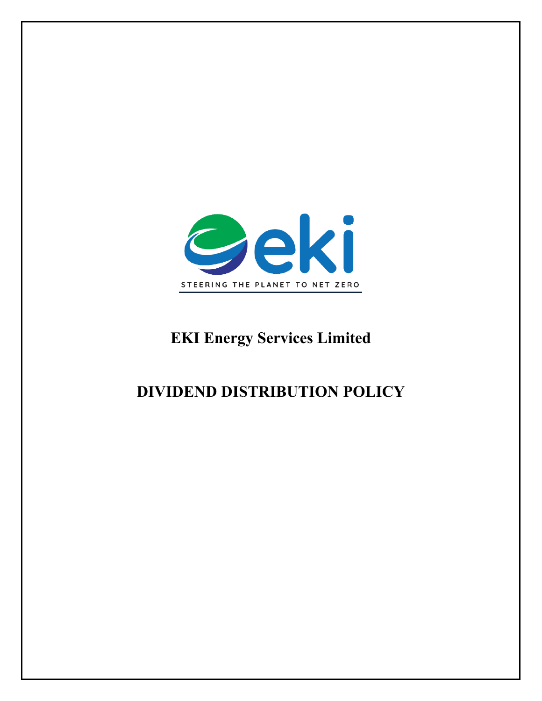

# **EKI Energy Services Limited**

# **DIVIDEND DISTRIBUTION POLICY**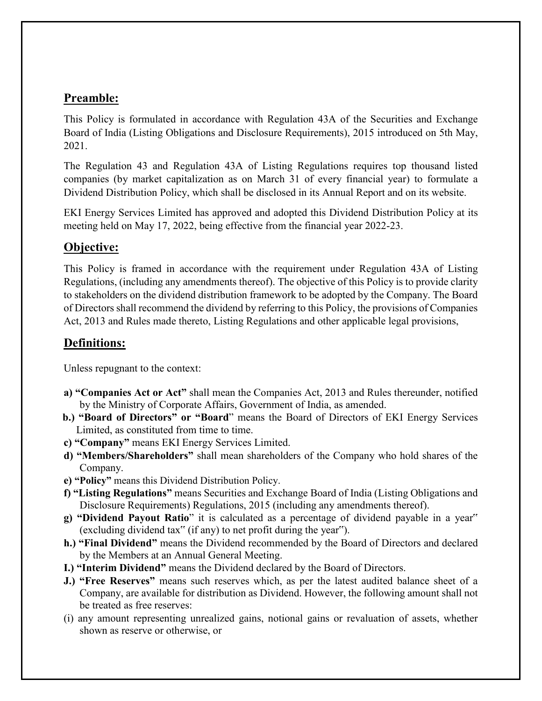## **Preamble:**

This Policy is formulated in accordance with Regulation 43A of the Securities and Exchange Board of India (Listing Obligations and Disclosure Requirements), 2015 introduced on 5th May, 2021.

The Regulation 43 and Regulation 43A of Listing Regulations requires top thousand listed companies (by market capitalization as on March 31 of every financial year) to formulate a Dividend Distribution Policy, which shall be disclosed in its Annual Report and on its website.

EKI Energy Services Limited has approved and adopted this Dividend Distribution Policy at its meeting held on May 17, 2022, being effective from the financial year 2022-23.

## **Objective:**

This Policy is framed in accordance with the requirement under Regulation 43A of Listing Regulations, (including any amendments thereof). The objective of this Policy is to provide clarity to stakeholders on the dividend distribution framework to be adopted by the Company. The Board of Directors shall recommend the dividend by referring to this Policy, the provisions of Companies Act, 2013 and Rules made thereto, Listing Regulations and other applicable legal provisions,

# **Definitions:**

Unless repugnant to the context:

- **a) "Companies Act or Act"** shall mean the Companies Act, 2013 and Rules thereunder, notified by the Ministry of Corporate Affairs, Government of India, as amended.
- **b.) "Board of Directors" or "Board**" means the Board of Directors of EKI Energy Services Limited, as constituted from time to time.
- **c) "Company"** means EKI Energy Services Limited.
- **d) "Members/Shareholders"** shall mean shareholders of the Company who hold shares of the Company.
- **e) "Policy"** means this Dividend Distribution Policy.
- **f) "Listing Regulations"** means Securities and Exchange Board of India (Listing Obligations and Disclosure Requirements) Regulations, 2015 (including any amendments thereof).
- **g) "Dividend Payout Ratio**" it is calculated as a percentage of dividend payable in a year" (excluding dividend tax" (if any) to net profit during the year").
- **h.) "Final Dividend"** means the Dividend recommended by the Board of Directors and declared by the Members at an Annual General Meeting.
- **I.) "Interim Dividend"** means the Dividend declared by the Board of Directors.
- **J.) "Free Reserves"** means such reserves which, as per the latest audited balance sheet of a Company, are available for distribution as Dividend. However, the following amount shall not be treated as free reserves:
- (i) any amount representing unrealized gains, notional gains or revaluation of assets, whether shown as reserve or otherwise, or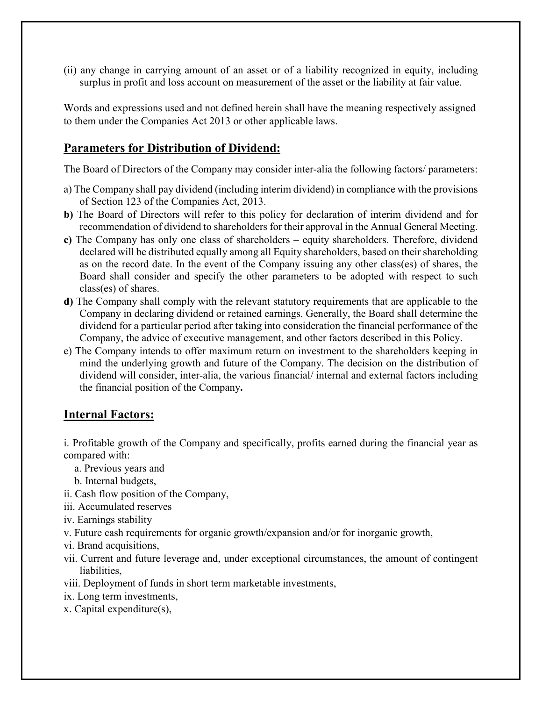(ii) any change in carrying amount of an asset or of a liability recognized in equity, including surplus in profit and loss account on measurement of the asset or the liability at fair value.

Words and expressions used and not defined herein shall have the meaning respectively assigned to them under the Companies Act 2013 or other applicable laws.

### **Parameters for Distribution of Dividend:**

The Board of Directors of the Company may consider inter-alia the following factors/ parameters:

- a) The Company shall pay dividend (including interim dividend) in compliance with the provisions of Section 123 of the Companies Act, 2013.
- **b)** The Board of Directors will refer to this policy for declaration of interim dividend and for recommendation of dividend to shareholders for their approval in the Annual General Meeting.
- **c)** The Company has only one class of shareholders equity shareholders. Therefore, dividend declared will be distributed equally among all Equity shareholders, based on their shareholding as on the record date. In the event of the Company issuing any other class(es) of shares, the Board shall consider and specify the other parameters to be adopted with respect to such class(es) of shares.
- **d)** The Company shall comply with the relevant statutory requirements that are applicable to the Company in declaring dividend or retained earnings. Generally, the Board shall determine the dividend for a particular period after taking into consideration the financial performance of the Company, the advice of executive management, and other factors described in this Policy.
- e) The Company intends to offer maximum return on investment to the shareholders keeping in mind the underlying growth and future of the Company. The decision on the distribution of dividend will consider, inter-alia, the various financial/ internal and external factors including the financial position of the Company**.**

### **Internal Factors:**

i. Profitable growth of the Company and specifically, profits earned during the financial year as compared with:

- a. Previous years and
- b. Internal budgets,
- ii. Cash flow position of the Company,
- iii. Accumulated reserves
- iv. Earnings stability
- v. Future cash requirements for organic growth/expansion and/or for inorganic growth,
- vi. Brand acquisitions,
- vii. Current and future leverage and, under exceptional circumstances, the amount of contingent liabilities,
- viii. Deployment of funds in short term marketable investments,
- ix. Long term investments,
- x. Capital expenditure(s),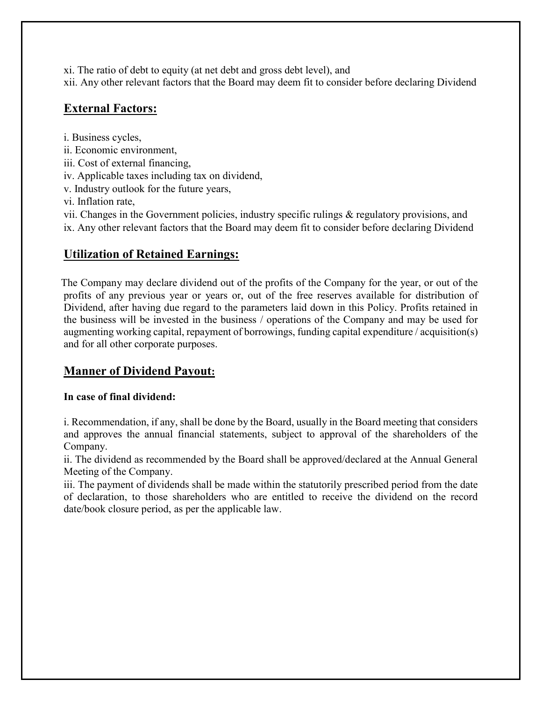xi. The ratio of debt to equity (at net debt and gross debt level), and

xii. Any other relevant factors that the Board may deem fit to consider before declaring Dividend

# **External Factors:**

i. Business cycles,

- ii. Economic environment,
- iii. Cost of external financing,
- iv. Applicable taxes including tax on dividend,
- v. Industry outlook for the future years,

vi. Inflation rate,

vii. Changes in the Government policies, industry specific rulings & regulatory provisions, and ix. Any other relevant factors that the Board may deem fit to consider before declaring Dividend

# **Utilization of Retained Earnings:**

 The Company may declare dividend out of the profits of the Company for the year, or out of the profits of any previous year or years or, out of the free reserves available for distribution of Dividend, after having due regard to the parameters laid down in this Policy. Profits retained in the business will be invested in the business / operations of the Company and may be used for augmenting working capital, repayment of borrowings, funding capital expenditure / acquisition(s) and for all other corporate purposes.

# **Manner of Dividend Payout:**

# **In case of final dividend:**

i. Recommendation, if any, shall be done by the Board, usually in the Board meeting that considers and approves the annual financial statements, subject to approval of the shareholders of the Company.

ii. The dividend as recommended by the Board shall be approved/declared at the Annual General Meeting of the Company.

iii. The payment of dividends shall be made within the statutorily prescribed period from the date of declaration, to those shareholders who are entitled to receive the dividend on the record date/book closure period, as per the applicable law.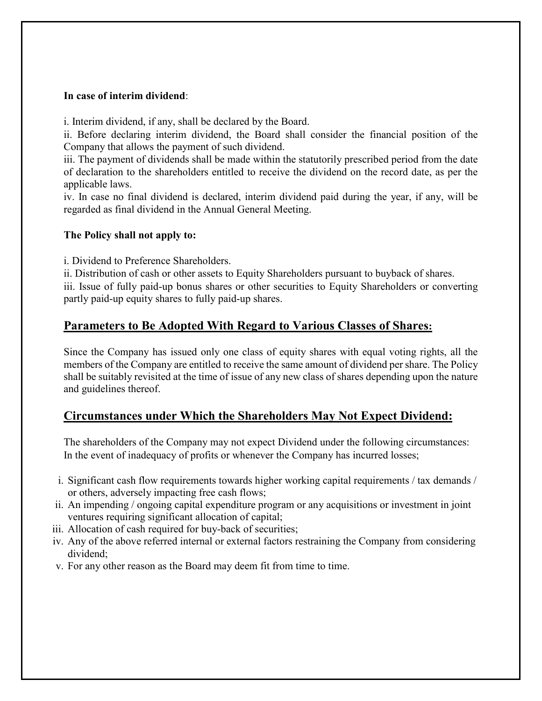#### **In case of interim dividend**:

i. Interim dividend, if any, shall be declared by the Board.

ii. Before declaring interim dividend, the Board shall consider the financial position of the Company that allows the payment of such dividend.

iii. The payment of dividends shall be made within the statutorily prescribed period from the date of declaration to the shareholders entitled to receive the dividend on the record date, as per the applicable laws.

iv. In case no final dividend is declared, interim dividend paid during the year, if any, will be regarded as final dividend in the Annual General Meeting.

#### **The Policy shall not apply to:**

i. Dividend to Preference Shareholders.

ii. Distribution of cash or other assets to Equity Shareholders pursuant to buyback of shares. iii. Issue of fully paid-up bonus shares or other securities to Equity Shareholders or converting partly paid-up equity shares to fully paid-up shares.

### **Parameters to Be Adopted With Regard to Various Classes of Shares:**

Since the Company has issued only one class of equity shares with equal voting rights, all the members of the Company are entitled to receive the same amount of dividend per share. The Policy shall be suitably revisited at the time of issue of any new class of shares depending upon the nature and guidelines thereof.

### **Circumstances under Which the Shareholders May Not Expect Dividend:**

The shareholders of the Company may not expect Dividend under the following circumstances: In the event of inadequacy of profits or whenever the Company has incurred losses;

- i. Significant cash flow requirements towards higher working capital requirements / tax demands / or others, adversely impacting free cash flows;
- ii. An impending / ongoing capital expenditure program or any acquisitions or investment in joint ventures requiring significant allocation of capital;
- iii. Allocation of cash required for buy-back of securities;
- iv. Any of the above referred internal or external factors restraining the Company from considering dividend;
- v. For any other reason as the Board may deem fit from time to time.